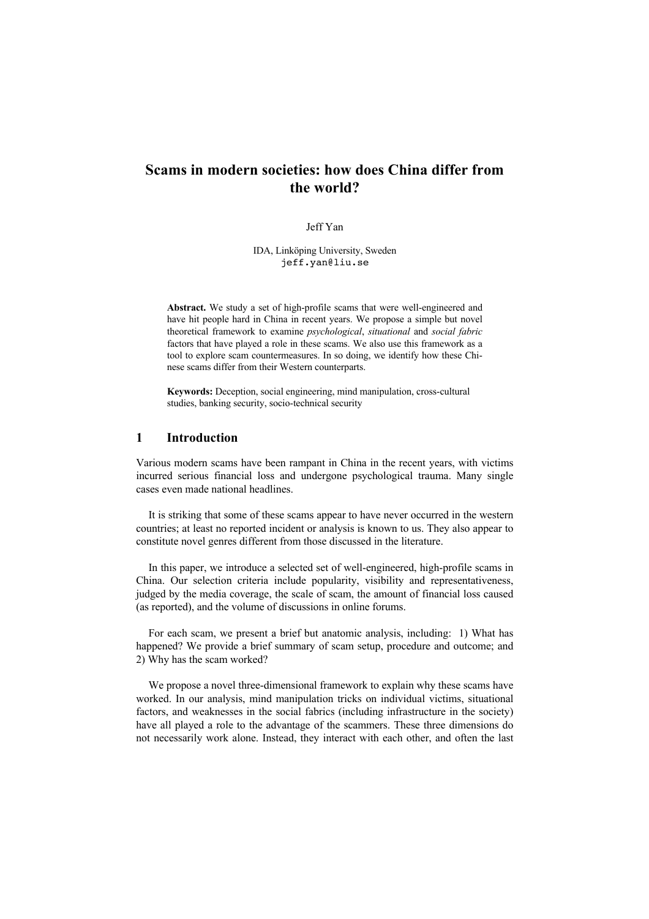# **Scams in modern societies: how does China differ from the world?**

Jeff Yan

IDA, Linköping University, Sweden jeff.yan@liu.se

**Abstract.** We study a set of high-profile scams that were well-engineered and have hit people hard in China in recent years. We propose a simple but novel theoretical framework to examine *psychological*, *situational* and *social fabric* factors that have played a role in these scams. We also use this framework as a tool to explore scam countermeasures. In so doing, we identify how these Chinese scams differ from their Western counterparts.

**Keywords:** Deception, social engineering, mind manipulation, cross-cultural studies, banking security, socio-technical security

### **1 Introduction**

Various modern scams have been rampant in China in the recent years, with victims incurred serious financial loss and undergone psychological trauma. Many single cases even made national headlines.

It is striking that some of these scams appear to have never occurred in the western countries; at least no reported incident or analysis is known to us. They also appear to constitute novel genres different from those discussed in the literature.

In this paper, we introduce a selected set of well-engineered, high-profile scams in China. Our selection criteria include popularity, visibility and representativeness, judged by the media coverage, the scale of scam, the amount of financial loss caused (as reported), and the volume of discussions in online forums.

For each scam, we present a brief but anatomic analysis, including: 1) What has happened? We provide a brief summary of scam setup, procedure and outcome; and 2) Why has the scam worked?

We propose a novel three-dimensional framework to explain why these scams have worked. In our analysis, mind manipulation tricks on individual victims, situational factors, and weaknesses in the social fabrics (including infrastructure in the society) have all played a role to the advantage of the scammers. These three dimensions do not necessarily work alone. Instead, they interact with each other, and often the last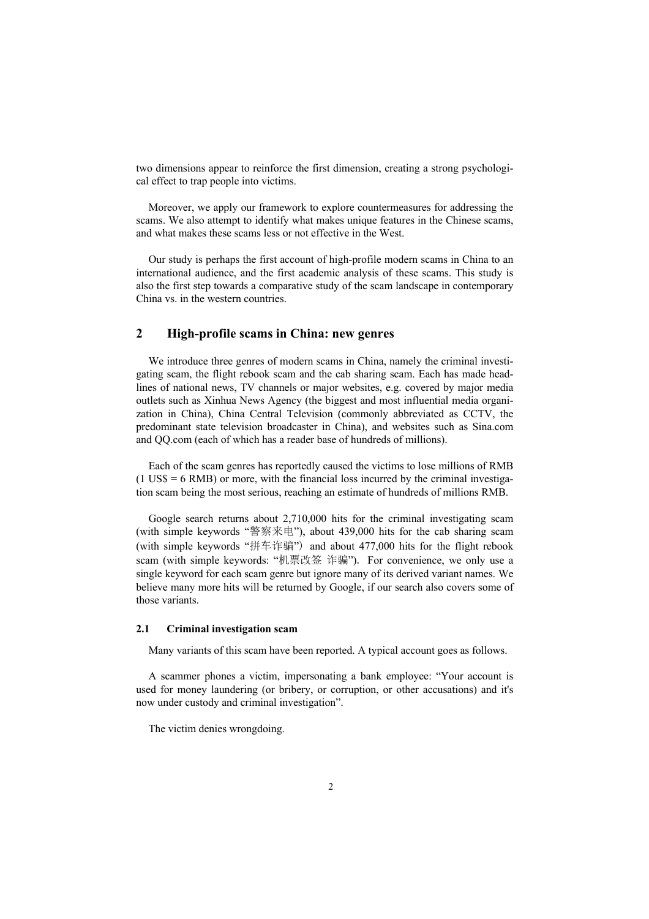two dimensions appear to reinforce the first dimension, creating a strong psychological effect to trap people into victims.

Moreover, we apply our framework to explore countermeasures for addressing the scams. We also attempt to identify what makes unique features in the Chinese scams, and what makes these scams less or not effective in the West.

Our study is perhaps the first account of high-profile modern scams in China to an international audience, and the first academic analysis of these scams. This study is also the first step towards a comparative study of the scam landscape in contemporary China vs. in the western countries.

### **2 High-profile scams in China: new genres**

We introduce three genres of modern scams in China, namely the criminal investigating scam, the flight rebook scam and the cab sharing scam. Each has made headlines of national news, TV channels or major websites, e.g. covered by major media outlets such as Xinhua News Agency (the biggest and most influential media organization in China), China Central Television (commonly abbreviated as CCTV, the predominant state television broadcaster in China), and websites such as Sina.com and QQ.com (each of which has a reader base of hundreds of millions).

Each of the scam genres has reportedly caused the victims to lose millions of RMB  $(1 \text{ US}\$ = 6 \text{ RMB})$  or more, with the financial loss incurred by the criminal investigation scam being the most serious, reaching an estimate of hundreds of millions RMB.

Google search returns about 2,710,000 hits for the criminal investigating scam (with simple keywords "警察来电"), about 439,000 hits for the cab sharing scam (with simple keywords "拼车诈骗") and about 477,000 hits for the flight rebook scam (with simple keywords: "机票改签 诈骗"). For convenience, we only use a single keyword for each scam genre but ignore many of its derived variant names. We believe many more hits will be returned by Google, if our search also covers some of those variants.

### **2.1 Criminal investigation scam**

Many variants of this scam have been reported. A typical account goes as follows.

A scammer phones a victim, impersonating a bank employee: "Your account is used for money laundering (or bribery, or corruption, or other accusations) and it's now under custody and criminal investigation".

The victim denies wrongdoing.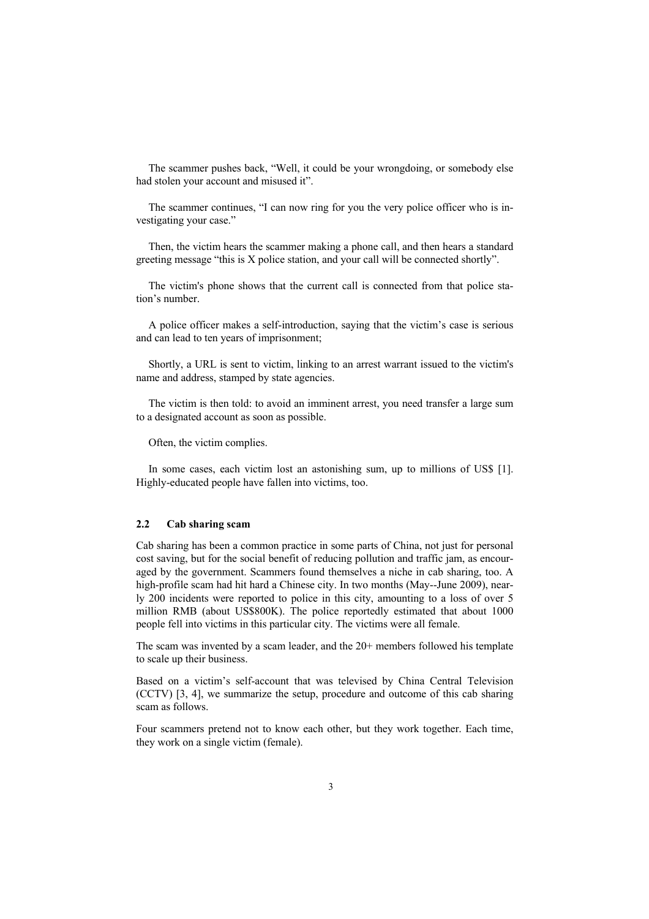The scammer pushes back, "Well, it could be your wrongdoing, or somebody else had stolen your account and misused it".

The scammer continues, "I can now ring for you the very police officer who is investigating your case."

Then, the victim hears the scammer making a phone call, and then hears a standard greeting message "this is X police station, and your call will be connected shortly".

The victim's phone shows that the current call is connected from that police station's number.

A police officer makes a self-introduction, saying that the victim's case is serious and can lead to ten years of imprisonment;

Shortly, a URL is sent to victim, linking to an arrest warrant issued to the victim's name and address, stamped by state agencies.

The victim is then told: to avoid an imminent arrest, you need transfer a large sum to a designated account as soon as possible.

Often, the victim complies.

In some cases, each victim lost an astonishing sum, up to millions of US\$ [1]. Highly-educated people have fallen into victims, too.

#### **2.2 Cab sharing scam**

Cab sharing has been a common practice in some parts of China, not just for personal cost saving, but for the social benefit of reducing pollution and traffic jam, as encouraged by the government. Scammers found themselves a niche in cab sharing, too. A high-profile scam had hit hard a Chinese city. In two months (May--June 2009), nearly 200 incidents were reported to police in this city, amounting to a loss of over 5 million RMB (about US\$800K). The police reportedly estimated that about 1000 people fell into victims in this particular city. The victims were all female.

The scam was invented by a scam leader, and the 20+ members followed his template to scale up their business.

Based on a victim's self-account that was televised by China Central Television (CCTV) [3, 4], we summarize the setup, procedure and outcome of this cab sharing scam as follows.

Four scammers pretend not to know each other, but they work together. Each time, they work on a single victim (female).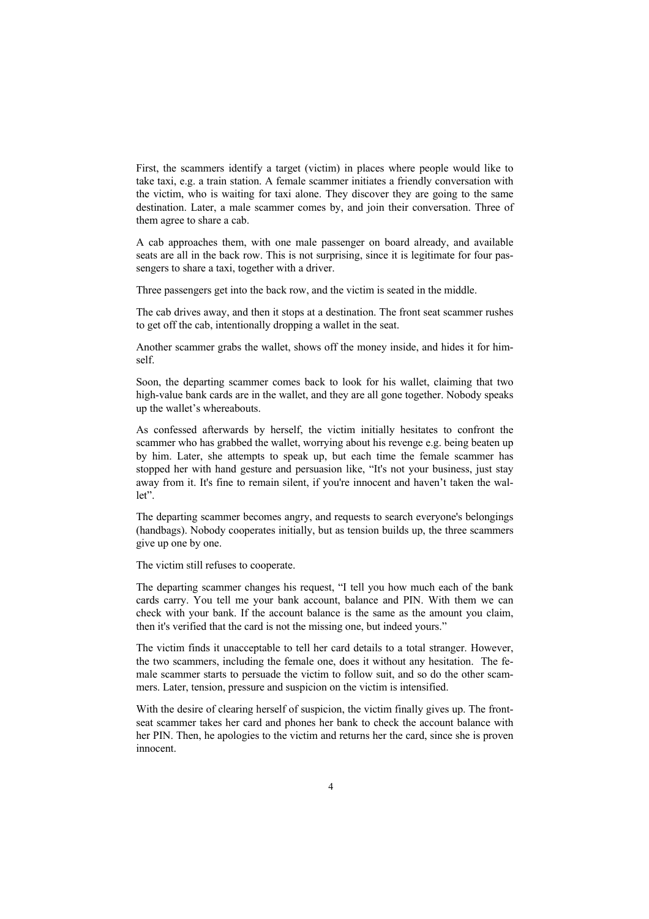First, the scammers identify a target (victim) in places where people would like to take taxi, e.g. a train station. A female scammer initiates a friendly conversation with the victim, who is waiting for taxi alone. They discover they are going to the same destination. Later, a male scammer comes by, and join their conversation. Three of them agree to share a cab.

A cab approaches them, with one male passenger on board already, and available seats are all in the back row. This is not surprising, since it is legitimate for four passengers to share a taxi, together with a driver.

Three passengers get into the back row, and the victim is seated in the middle.

The cab drives away, and then it stops at a destination. The front seat scammer rushes to get off the cab, intentionally dropping a wallet in the seat.

Another scammer grabs the wallet, shows off the money inside, and hides it for himself.

Soon, the departing scammer comes back to look for his wallet, claiming that two high-value bank cards are in the wallet, and they are all gone together. Nobody speaks up the wallet's whereabouts.

As confessed afterwards by herself, the victim initially hesitates to confront the scammer who has grabbed the wallet, worrying about his revenge e.g. being beaten up by him. Later, she attempts to speak up, but each time the female scammer has stopped her with hand gesture and persuasion like, "It's not your business, just stay away from it. It's fine to remain silent, if you're innocent and haven't taken the wallet".

The departing scammer becomes angry, and requests to search everyone's belongings (handbags). Nobody cooperates initially, but as tension builds up, the three scammers give up one by one.

The victim still refuses to cooperate.

The departing scammer changes his request, "I tell you how much each of the bank cards carry. You tell me your bank account, balance and PIN. With them we can check with your bank. If the account balance is the same as the amount you claim, then it's verified that the card is not the missing one, but indeed yours."

The victim finds it unacceptable to tell her card details to a total stranger. However, the two scammers, including the female one, does it without any hesitation. The female scammer starts to persuade the victim to follow suit, and so do the other scammers. Later, tension, pressure and suspicion on the victim is intensified.

With the desire of clearing herself of suspicion, the victim finally gives up. The frontseat scammer takes her card and phones her bank to check the account balance with her PIN. Then, he apologies to the victim and returns her the card, since she is proven innocent.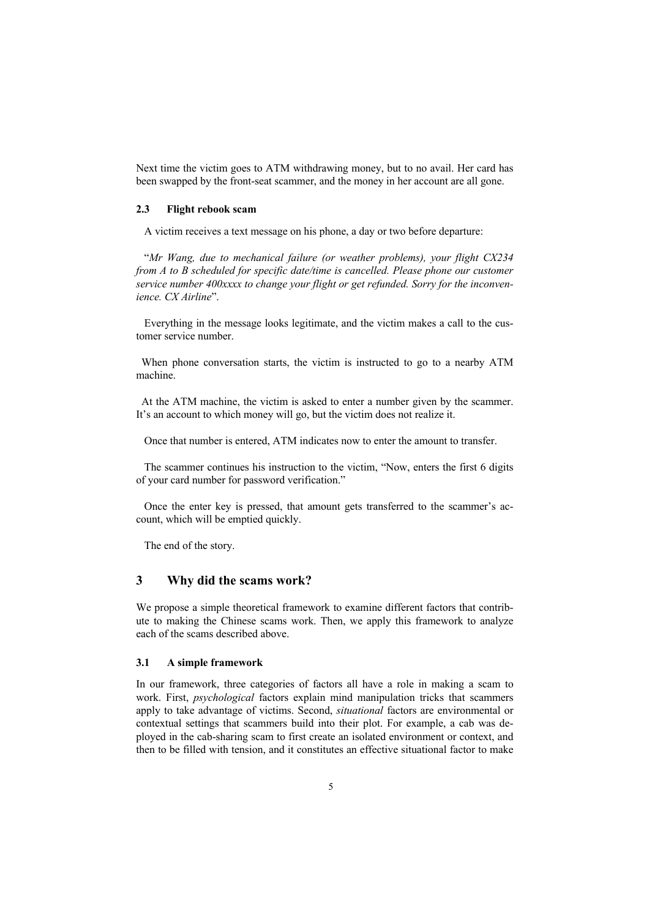Next time the victim goes to ATM withdrawing money, but to no avail. Her card has been swapped by the front-seat scammer, and the money in her account are all gone.

#### **2.3 Flight rebook scam**

A victim receives a text message on his phone, a day or two before departure:

 "*Mr Wang, due to mechanical failure (or weather problems), your flight CX234 from A to B scheduled for specific date/time is cancelled. Please phone our customer service number 400xxxx to change your flight or get refunded. Sorry for the inconvenience. CX Airline*".

 Everything in the message looks legitimate, and the victim makes a call to the customer service number.

 When phone conversation starts, the victim is instructed to go to a nearby ATM machine.

 At the ATM machine, the victim is asked to enter a number given by the scammer. It's an account to which money will go, but the victim does not realize it.

Once that number is entered, ATM indicates now to enter the amount to transfer.

 The scammer continues his instruction to the victim, "Now, enters the first 6 digits of your card number for password verification."

 Once the enter key is pressed, that amount gets transferred to the scammer's account, which will be emptied quickly.

The end of the story.

### **3 Why did the scams work?**

We propose a simple theoretical framework to examine different factors that contribute to making the Chinese scams work. Then, we apply this framework to analyze each of the scams described above.

#### **3.1 A simple framework**

In our framework, three categories of factors all have a role in making a scam to work. First, *psychological* factors explain mind manipulation tricks that scammers apply to take advantage of victims. Second, *situational* factors are environmental or contextual settings that scammers build into their plot. For example, a cab was deployed in the cab-sharing scam to first create an isolated environment or context, and then to be filled with tension, and it constitutes an effective situational factor to make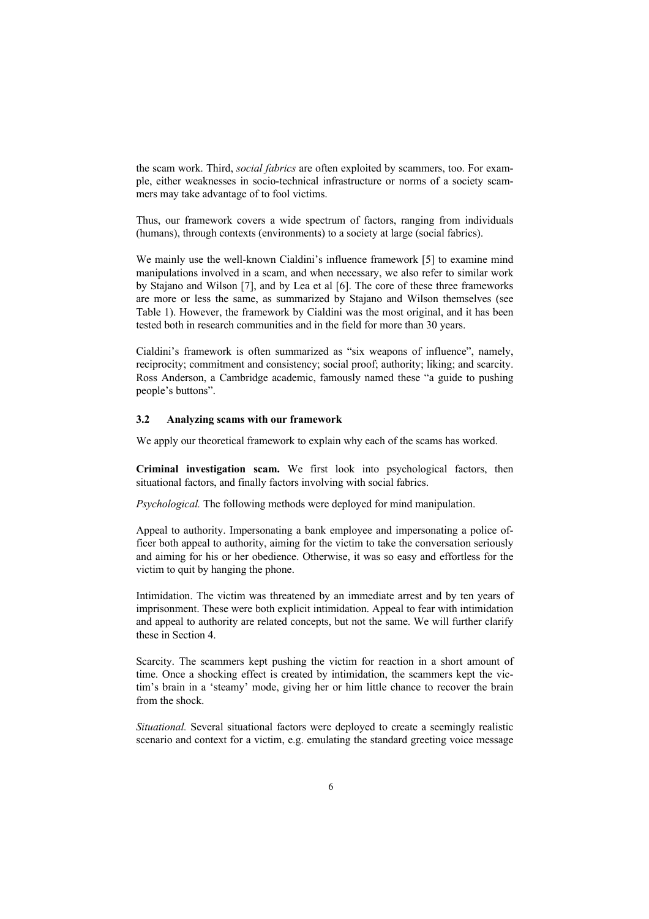the scam work. Third, *social fabrics* are often exploited by scammers, too. For example, either weaknesses in socio-technical infrastructure or norms of a society scammers may take advantage of to fool victims.

Thus, our framework covers a wide spectrum of factors, ranging from individuals (humans), through contexts (environments) to a society at large (social fabrics).

We mainly use the well-known Cialdini's influence framework [5] to examine mind manipulations involved in a scam, and when necessary, we also refer to similar work by Stajano and Wilson [7], and by Lea et al [6]. The core of these three frameworks are more or less the same, as summarized by Stajano and Wilson themselves (see Table 1). However, the framework by Cialdini was the most original, and it has been tested both in research communities and in the field for more than 30 years.

Cialdini's framework is often summarized as "six weapons of influence", namely, reciprocity; commitment and consistency; social proof; authority; liking; and scarcity. Ross Anderson, a Cambridge academic, famously named these "a guide to pushing people's buttons".

#### **3.2 Analyzing scams with our framework**

We apply our theoretical framework to explain why each of the scams has worked.

**Criminal investigation scam.** We first look into psychological factors, then situational factors, and finally factors involving with social fabrics.

*Psychological.* The following methods were deployed for mind manipulation.

Appeal to authority. Impersonating a bank employee and impersonating a police officer both appeal to authority, aiming for the victim to take the conversation seriously and aiming for his or her obedience. Otherwise, it was so easy and effortless for the victim to quit by hanging the phone.

Intimidation. The victim was threatened by an immediate arrest and by ten years of imprisonment. These were both explicit intimidation. Appeal to fear with intimidation and appeal to authority are related concepts, but not the same. We will further clarify these in Section 4.

Scarcity. The scammers kept pushing the victim for reaction in a short amount of time. Once a shocking effect is created by intimidation, the scammers kept the victim's brain in a 'steamy' mode, giving her or him little chance to recover the brain from the shock.

*Situational.* Several situational factors were deployed to create a seemingly realistic scenario and context for a victim, e.g. emulating the standard greeting voice message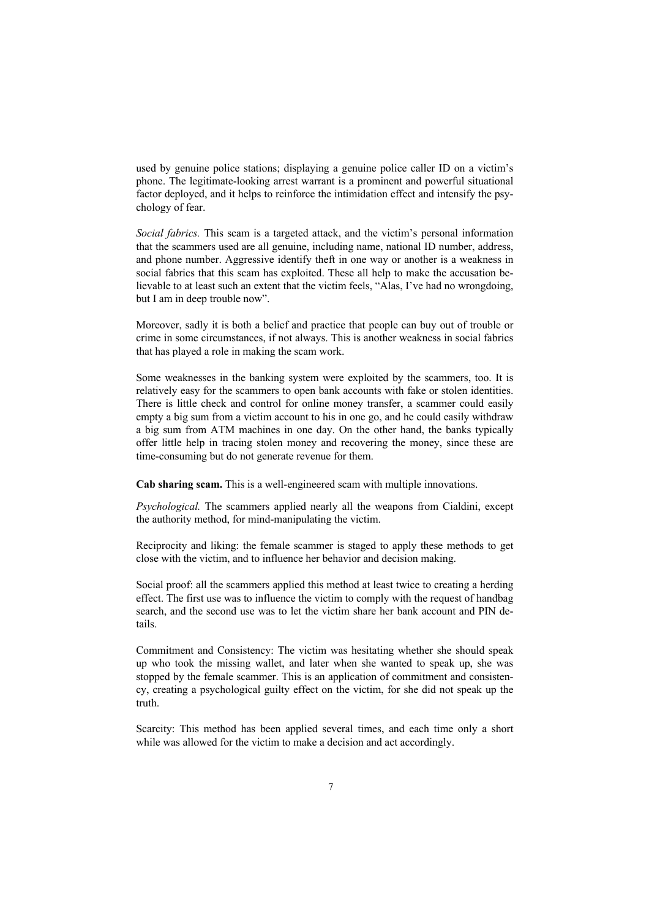used by genuine police stations; displaying a genuine police caller ID on a victim's phone. The legitimate-looking arrest warrant is a prominent and powerful situational factor deployed, and it helps to reinforce the intimidation effect and intensify the psychology of fear.

*Social fabrics.* This scam is a targeted attack, and the victim's personal information that the scammers used are all genuine, including name, national ID number, address, and phone number. Aggressive identify theft in one way or another is a weakness in social fabrics that this scam has exploited. These all help to make the accusation believable to at least such an extent that the victim feels, "Alas, I've had no wrongdoing, but I am in deep trouble now".

Moreover, sadly it is both a belief and practice that people can buy out of trouble or crime in some circumstances, if not always. This is another weakness in social fabrics that has played a role in making the scam work.

Some weaknesses in the banking system were exploited by the scammers, too. It is relatively easy for the scammers to open bank accounts with fake or stolen identities. There is little check and control for online money transfer, a scammer could easily empty a big sum from a victim account to his in one go, and he could easily withdraw a big sum from ATM machines in one day. On the other hand, the banks typically offer little help in tracing stolen money and recovering the money, since these are time-consuming but do not generate revenue for them.

**Cab sharing scam.** This is a well-engineered scam with multiple innovations.

*Psychological.* The scammers applied nearly all the weapons from Cialdini, except the authority method, for mind-manipulating the victim.

Reciprocity and liking: the female scammer is staged to apply these methods to get close with the victim, and to influence her behavior and decision making.

Social proof: all the scammers applied this method at least twice to creating a herding effect. The first use was to influence the victim to comply with the request of handbag search, and the second use was to let the victim share her bank account and PIN details.

Commitment and Consistency: The victim was hesitating whether she should speak up who took the missing wallet, and later when she wanted to speak up, she was stopped by the female scammer. This is an application of commitment and consistency, creating a psychological guilty effect on the victim, for she did not speak up the truth.

Scarcity: This method has been applied several times, and each time only a short while was allowed for the victim to make a decision and act accordingly.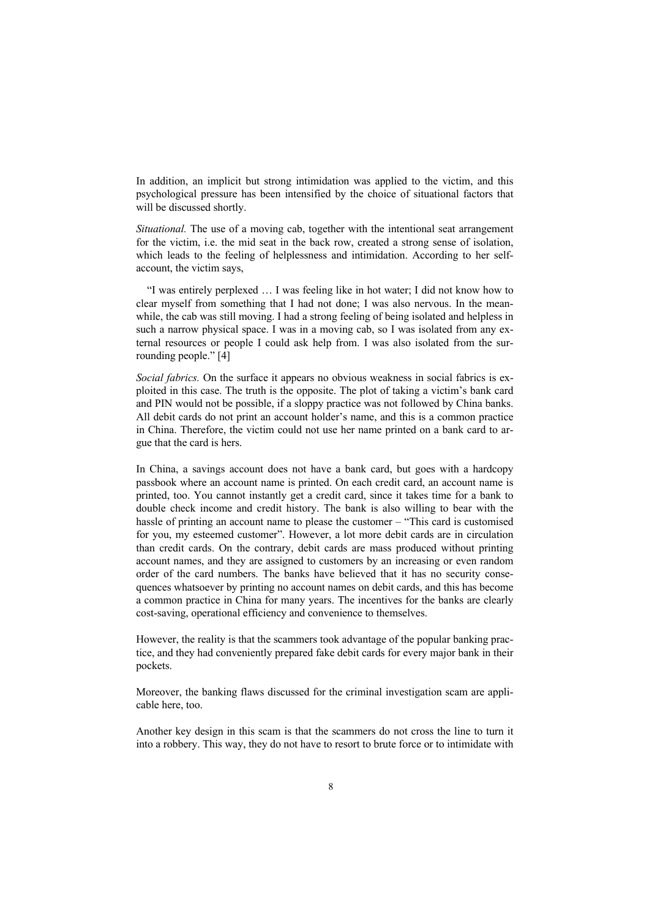In addition, an implicit but strong intimidation was applied to the victim, and this psychological pressure has been intensified by the choice of situational factors that will be discussed shortly.

*Situational.* The use of a moving cab, together with the intentional seat arrangement for the victim, i.e. the mid seat in the back row, created a strong sense of isolation, which leads to the feeling of helplessness and intimidation. According to her selfaccount, the victim says,

 "I was entirely perplexed … I was feeling like in hot water; I did not know how to clear myself from something that I had not done; I was also nervous. In the meanwhile, the cab was still moving. I had a strong feeling of being isolated and helpless in such a narrow physical space. I was in a moving cab, so I was isolated from any external resources or people I could ask help from. I was also isolated from the surrounding people." [4]

*Social fabrics.* On the surface it appears no obvious weakness in social fabrics is exploited in this case. The truth is the opposite. The plot of taking a victim's bank card and PIN would not be possible, if a sloppy practice was not followed by China banks. All debit cards do not print an account holder's name, and this is a common practice in China. Therefore, the victim could not use her name printed on a bank card to argue that the card is hers.

In China, a savings account does not have a bank card, but goes with a hardcopy passbook where an account name is printed. On each credit card, an account name is printed, too. You cannot instantly get a credit card, since it takes time for a bank to double check income and credit history. The bank is also willing to bear with the hassle of printing an account name to please the customer – "This card is customised for you, my esteemed customer". However, a lot more debit cards are in circulation than credit cards. On the contrary, debit cards are mass produced without printing account names, and they are assigned to customers by an increasing or even random order of the card numbers. The banks have believed that it has no security consequences whatsoever by printing no account names on debit cards, and this has become a common practice in China for many years. The incentives for the banks are clearly cost-saving, operational efficiency and convenience to themselves.

However, the reality is that the scammers took advantage of the popular banking practice, and they had conveniently prepared fake debit cards for every major bank in their pockets.

Moreover, the banking flaws discussed for the criminal investigation scam are applicable here, too.

Another key design in this scam is that the scammers do not cross the line to turn it into a robbery. This way, they do not have to resort to brute force or to intimidate with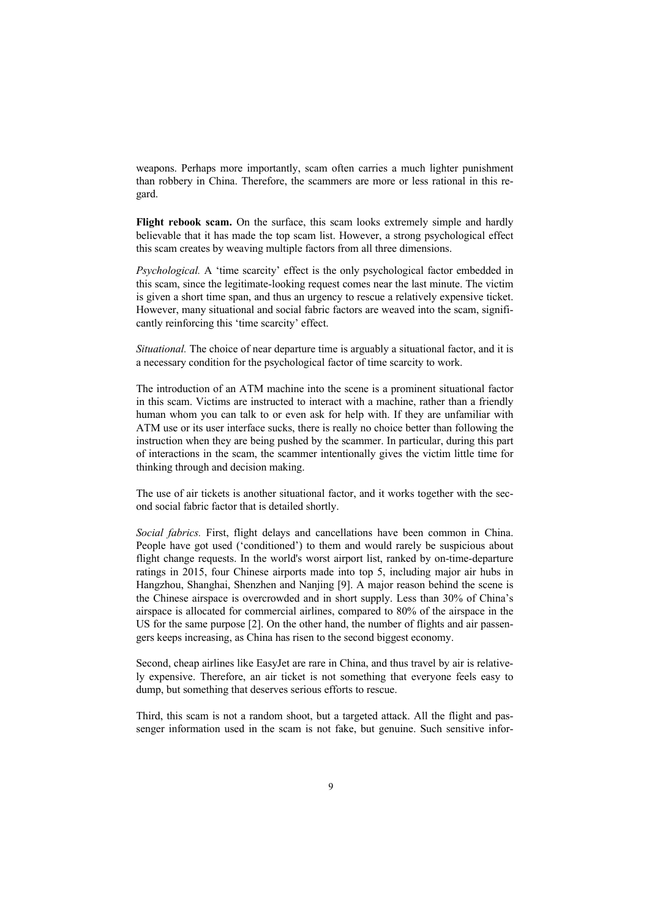weapons. Perhaps more importantly, scam often carries a much lighter punishment than robbery in China. Therefore, the scammers are more or less rational in this regard.

**Flight rebook scam.** On the surface, this scam looks extremely simple and hardly believable that it has made the top scam list. However, a strong psychological effect this scam creates by weaving multiple factors from all three dimensions.

*Psychological.* A 'time scarcity' effect is the only psychological factor embedded in this scam, since the legitimate-looking request comes near the last minute. The victim is given a short time span, and thus an urgency to rescue a relatively expensive ticket. However, many situational and social fabric factors are weaved into the scam, significantly reinforcing this 'time scarcity' effect.

*Situational.* The choice of near departure time is arguably a situational factor, and it is a necessary condition for the psychological factor of time scarcity to work.

The introduction of an ATM machine into the scene is a prominent situational factor in this scam. Victims are instructed to interact with a machine, rather than a friendly human whom you can talk to or even ask for help with. If they are unfamiliar with ATM use or its user interface sucks, there is really no choice better than following the instruction when they are being pushed by the scammer. In particular, during this part of interactions in the scam, the scammer intentionally gives the victim little time for thinking through and decision making.

The use of air tickets is another situational factor, and it works together with the second social fabric factor that is detailed shortly.

*Social fabrics.* First, flight delays and cancellations have been common in China. People have got used ('conditioned') to them and would rarely be suspicious about flight change requests. In the world's worst airport list, ranked by on-time-departure ratings in 2015, four Chinese airports made into top 5, including major air hubs in Hangzhou, Shanghai, Shenzhen and Nanjing [9]. A major reason behind the scene is the Chinese airspace is overcrowded and in short supply. Less than 30% of China's airspace is allocated for commercial airlines, compared to 80% of the airspace in the US for the same purpose [2]. On the other hand, the number of flights and air passengers keeps increasing, as China has risen to the second biggest economy.

Second, cheap airlines like EasyJet are rare in China, and thus travel by air is relatively expensive. Therefore, an air ticket is not something that everyone feels easy to dump, but something that deserves serious efforts to rescue.

Third, this scam is not a random shoot, but a targeted attack. All the flight and passenger information used in the scam is not fake, but genuine. Such sensitive infor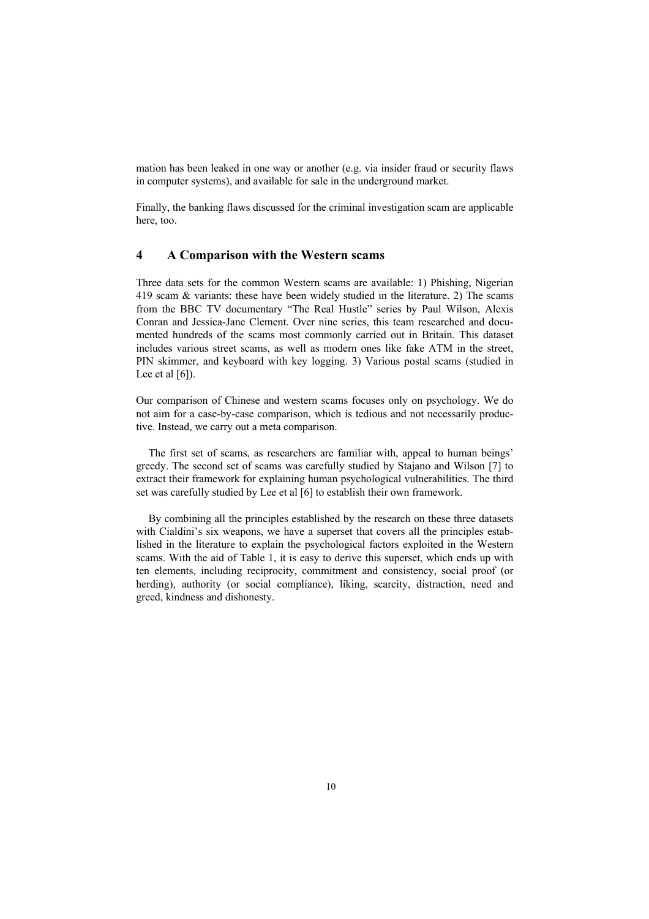mation has been leaked in one way or another (e.g. via insider fraud or security flaws in computer systems), and available for sale in the underground market.

Finally, the banking flaws discussed for the criminal investigation scam are applicable here, too.

### **4 A Comparison with the Western scams**

Three data sets for the common Western scams are available: 1) Phishing, Nigerian 419 scam & variants: these have been widely studied in the literature. 2) The scams from the BBC TV documentary "The Real Hustle" series by Paul Wilson, Alexis Conran and Jessica-Jane Clement. Over nine series, this team researched and documented hundreds of the scams most commonly carried out in Britain. This dataset includes various street scams, as well as modern ones like fake ATM in the street, PIN skimmer, and keyboard with key logging. 3) Various postal scams (studied in Lee et al  $[6]$ ).

Our comparison of Chinese and western scams focuses only on psychology. We do not aim for a case-by-case comparison, which is tedious and not necessarily productive. Instead, we carry out a meta comparison.

The first set of scams, as researchers are familiar with, appeal to human beings' greedy. The second set of scams was carefully studied by Stajano and Wilson [7] to extract their framework for explaining human psychological vulnerabilities. The third set was carefully studied by Lee et al [6] to establish their own framework.

By combining all the principles established by the research on these three datasets with Cialdini's six weapons, we have a superset that covers all the principles established in the literature to explain the psychological factors exploited in the Western scams. With the aid of Table 1, it is easy to derive this superset, which ends up with ten elements, including reciprocity, commitment and consistency, social proof (or herding), authority (or social compliance), liking, scarcity, distraction, need and greed, kindness and dishonesty.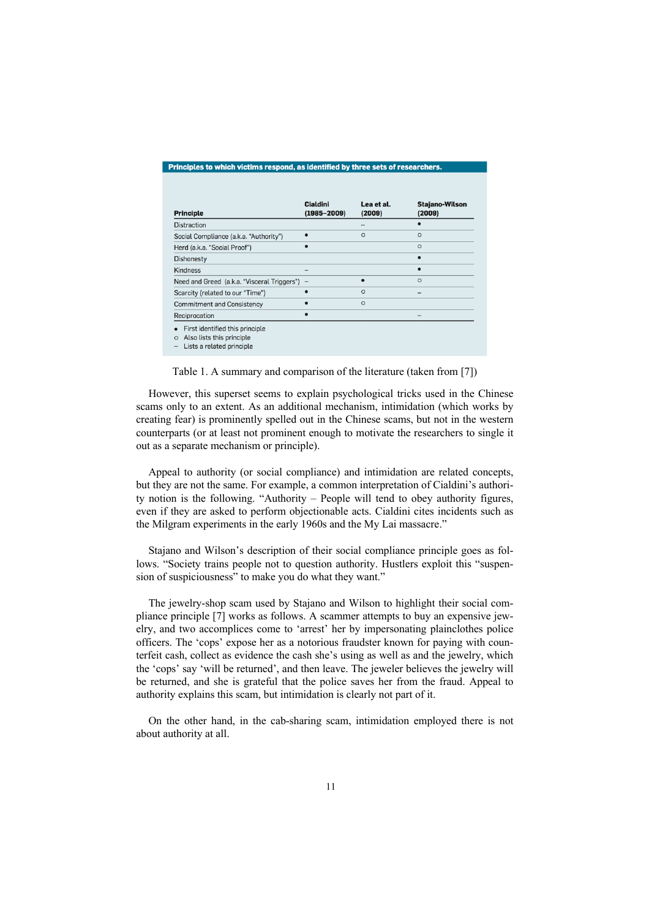#### Principles to which victims respond, as identified by three sets of researchers.

| <b>Principle</b>                                                                                     | <b>Cialdini</b><br>$(1985 - 2009)$ | Lea et al.<br>(2009)     | <b>Stajano-Wilson</b><br>(2009) |
|------------------------------------------------------------------------------------------------------|------------------------------------|--------------------------|---------------------------------|
| <b>Distraction</b>                                                                                   |                                    | $\overline{\phantom{a}}$ |                                 |
| Social Compliance (a.k.a. "Authority")                                                               |                                    | $\circ$                  | $\circ$                         |
| Herd (a.k.a. "Social Proof")                                                                         | $\bullet$                          |                          | $\circ$                         |
| <b>Dishonesty</b>                                                                                    |                                    |                          |                                 |
| <b>Kindness</b>                                                                                      | -                                  |                          |                                 |
| Need and Greed (a.k.a. "Visceral Triggers")                                                          | $\overline{\phantom{0}}$           |                          | $\circ$                         |
| Scarcity (related to our "Time")                                                                     |                                    | $\circ$                  | $\overline{\phantom{a}}$        |
| <b>Commitment and Consistency</b>                                                                    |                                    | $\circ$                  |                                 |
| Reciprocation                                                                                        |                                    |                          |                                 |
| First identified this principle<br>Also lists this principle<br>$\circ$<br>Lists a related principle |                                    |                          |                                 |

Table 1. A summary and comparison of the literature (taken from [7])

However, this superset seems to explain psychological tricks used in the Chinese scams only to an extent. As an additional mechanism, intimidation (which works by creating fear) is prominently spelled out in the Chinese scams, but not in the western counterparts (or at least not prominent enough to motivate the researchers to single it out as a separate mechanism or principle).

Appeal to authority (or social compliance) and intimidation are related concepts, but they are not the same. For example, a common interpretation of Cialdini's authority notion is the following. "Authority – People will tend to obey authority figures, even if they are asked to perform objectionable acts. Cialdini cites incidents such as the Milgram experiments in the early 1960s and the My Lai massacre."

Stajano and Wilson's description of their social compliance principle goes as follows. "Society trains people not to question authority. Hustlers exploit this "suspension of suspiciousness" to make you do what they want."

The jewelry-shop scam used by Stajano and Wilson to highlight their social compliance principle [7] works as follows. A scammer attempts to buy an expensive jewelry, and two accomplices come to 'arrest' her by impersonating plainclothes police officers. The 'cops' expose her as a notorious fraudster known for paying with counterfeit cash, collect as evidence the cash she's using as well as and the jewelry, which the 'cops' say 'will be returned', and then leave. The jeweler believes the jewelry will be returned, and she is grateful that the police saves her from the fraud. Appeal to authority explains this scam, but intimidation is clearly not part of it.

On the other hand, in the cab-sharing scam, intimidation employed there is not about authority at all.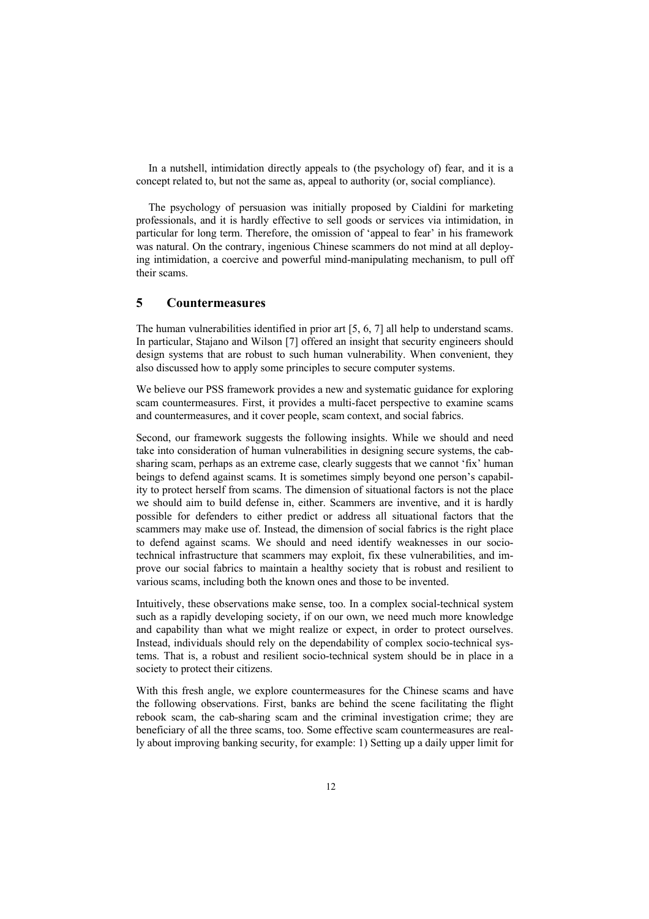In a nutshell, intimidation directly appeals to (the psychology of) fear, and it is a concept related to, but not the same as, appeal to authority (or, social compliance).

The psychology of persuasion was initially proposed by Cialdini for marketing professionals, and it is hardly effective to sell goods or services via intimidation, in particular for long term. Therefore, the omission of 'appeal to fear' in his framework was natural. On the contrary, ingenious Chinese scammers do not mind at all deploying intimidation, a coercive and powerful mind-manipulating mechanism, to pull off their scams.

### **5 Countermeasures**

The human vulnerabilities identified in prior art [5, 6, 7] all help to understand scams. In particular, Stajano and Wilson [7] offered an insight that security engineers should design systems that are robust to such human vulnerability. When convenient, they also discussed how to apply some principles to secure computer systems.

We believe our PSS framework provides a new and systematic guidance for exploring scam countermeasures. First, it provides a multi-facet perspective to examine scams and countermeasures, and it cover people, scam context, and social fabrics.

Second, our framework suggests the following insights. While we should and need take into consideration of human vulnerabilities in designing secure systems, the cabsharing scam, perhaps as an extreme case, clearly suggests that we cannot 'fix' human beings to defend against scams. It is sometimes simply beyond one person's capability to protect herself from scams. The dimension of situational factors is not the place we should aim to build defense in, either. Scammers are inventive, and it is hardly possible for defenders to either predict or address all situational factors that the scammers may make use of. Instead, the dimension of social fabrics is the right place to defend against scams. We should and need identify weaknesses in our sociotechnical infrastructure that scammers may exploit, fix these vulnerabilities, and improve our social fabrics to maintain a healthy society that is robust and resilient to various scams, including both the known ones and those to be invented.

Intuitively, these observations make sense, too. In a complex social-technical system such as a rapidly developing society, if on our own, we need much more knowledge and capability than what we might realize or expect, in order to protect ourselves. Instead, individuals should rely on the dependability of complex socio-technical systems. That is, a robust and resilient socio-technical system should be in place in a society to protect their citizens.

With this fresh angle, we explore countermeasures for the Chinese scams and have the following observations. First, banks are behind the scene facilitating the flight rebook scam, the cab-sharing scam and the criminal investigation crime; they are beneficiary of all the three scams, too. Some effective scam countermeasures are really about improving banking security, for example: 1) Setting up a daily upper limit for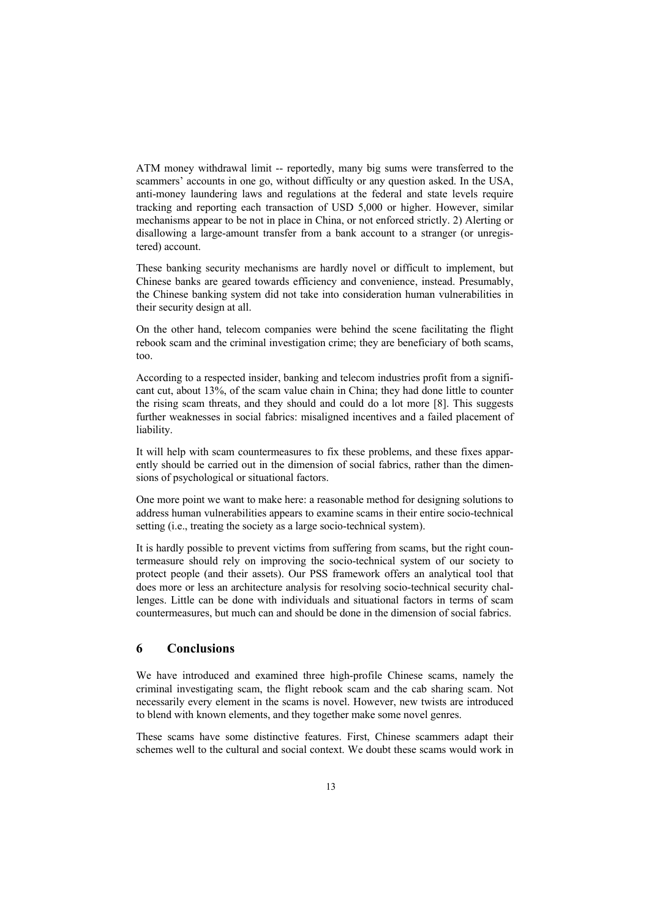ATM money withdrawal limit -- reportedly, many big sums were transferred to the scammers' accounts in one go, without difficulty or any question asked. In the USA, anti-money laundering laws and regulations at the federal and state levels require tracking and reporting each transaction of USD 5,000 or higher. However, similar mechanisms appear to be not in place in China, or not enforced strictly. 2) Alerting or disallowing a large-amount transfer from a bank account to a stranger (or unregistered) account.

These banking security mechanisms are hardly novel or difficult to implement, but Chinese banks are geared towards efficiency and convenience, instead. Presumably, the Chinese banking system did not take into consideration human vulnerabilities in their security design at all.

On the other hand, telecom companies were behind the scene facilitating the flight rebook scam and the criminal investigation crime; they are beneficiary of both scams, too.

According to a respected insider, banking and telecom industries profit from a significant cut, about 13%, of the scam value chain in China; they had done little to counter the rising scam threats, and they should and could do a lot more [8]. This suggests further weaknesses in social fabrics: misaligned incentives and a failed placement of liability.

It will help with scam countermeasures to fix these problems, and these fixes apparently should be carried out in the dimension of social fabrics, rather than the dimensions of psychological or situational factors.

One more point we want to make here: a reasonable method for designing solutions to address human vulnerabilities appears to examine scams in their entire socio-technical setting (i.e., treating the society as a large socio-technical system).

It is hardly possible to prevent victims from suffering from scams, but the right countermeasure should rely on improving the socio-technical system of our society to protect people (and their assets). Our PSS framework offers an analytical tool that does more or less an architecture analysis for resolving socio-technical security challenges. Little can be done with individuals and situational factors in terms of scam countermeasures, but much can and should be done in the dimension of social fabrics.

## **6 Conclusions**

We have introduced and examined three high-profile Chinese scams, namely the criminal investigating scam, the flight rebook scam and the cab sharing scam. Not necessarily every element in the scams is novel. However, new twists are introduced to blend with known elements, and they together make some novel genres.

These scams have some distinctive features. First, Chinese scammers adapt their schemes well to the cultural and social context. We doubt these scams would work in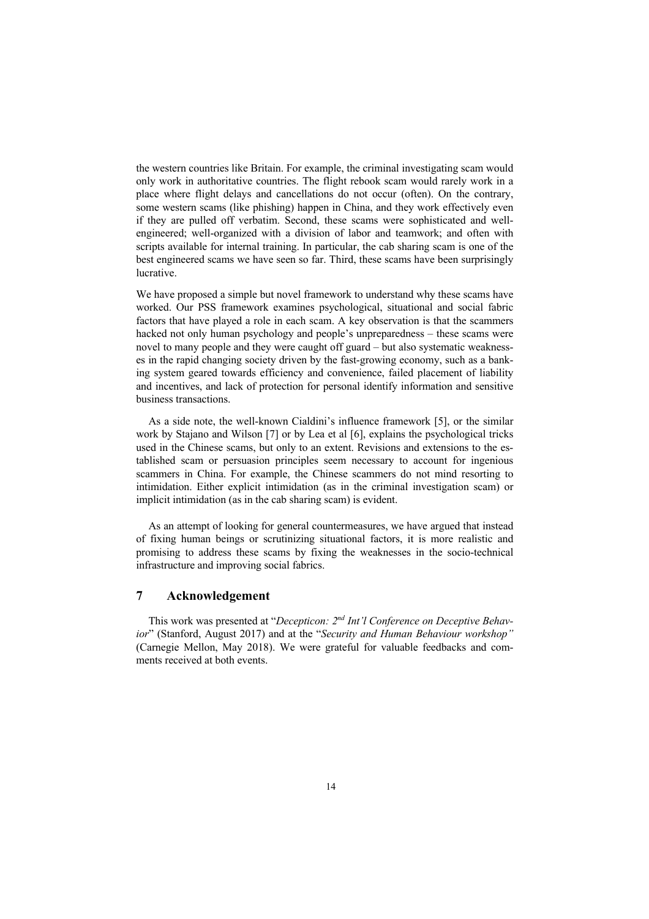the western countries like Britain. For example, the criminal investigating scam would only work in authoritative countries. The flight rebook scam would rarely work in a place where flight delays and cancellations do not occur (often). On the contrary, some western scams (like phishing) happen in China, and they work effectively even if they are pulled off verbatim. Second, these scams were sophisticated and wellengineered; well-organized with a division of labor and teamwork; and often with scripts available for internal training. In particular, the cab sharing scam is one of the best engineered scams we have seen so far. Third, these scams have been surprisingly lucrative.

We have proposed a simple but novel framework to understand why these scams have worked. Our PSS framework examines psychological, situational and social fabric factors that have played a role in each scam. A key observation is that the scammers hacked not only human psychology and people's unpreparedness – these scams were novel to many people and they were caught off guard – but also systematic weaknesses in the rapid changing society driven by the fast-growing economy, such as a banking system geared towards efficiency and convenience, failed placement of liability and incentives, and lack of protection for personal identify information and sensitive business transactions.

As a side note, the well-known Cialdini's influence framework [5], or the similar work by Stajano and Wilson [7] or by Lea et al [6], explains the psychological tricks used in the Chinese scams, but only to an extent. Revisions and extensions to the established scam or persuasion principles seem necessary to account for ingenious scammers in China. For example, the Chinese scammers do not mind resorting to intimidation. Either explicit intimidation (as in the criminal investigation scam) or implicit intimidation (as in the cab sharing scam) is evident.

As an attempt of looking for general countermeasures, we have argued that instead of fixing human beings or scrutinizing situational factors, it is more realistic and promising to address these scams by fixing the weaknesses in the socio-technical infrastructure and improving social fabrics.

### **7 Acknowledgement**

This work was presented at "*Decepticon: 2nd Int'l Conference on Deceptive Behavior*" (Stanford, August 2017) and at the "*Security and Human Behaviour workshop"* (Carnegie Mellon, May 2018). We were grateful for valuable feedbacks and comments received at both events.